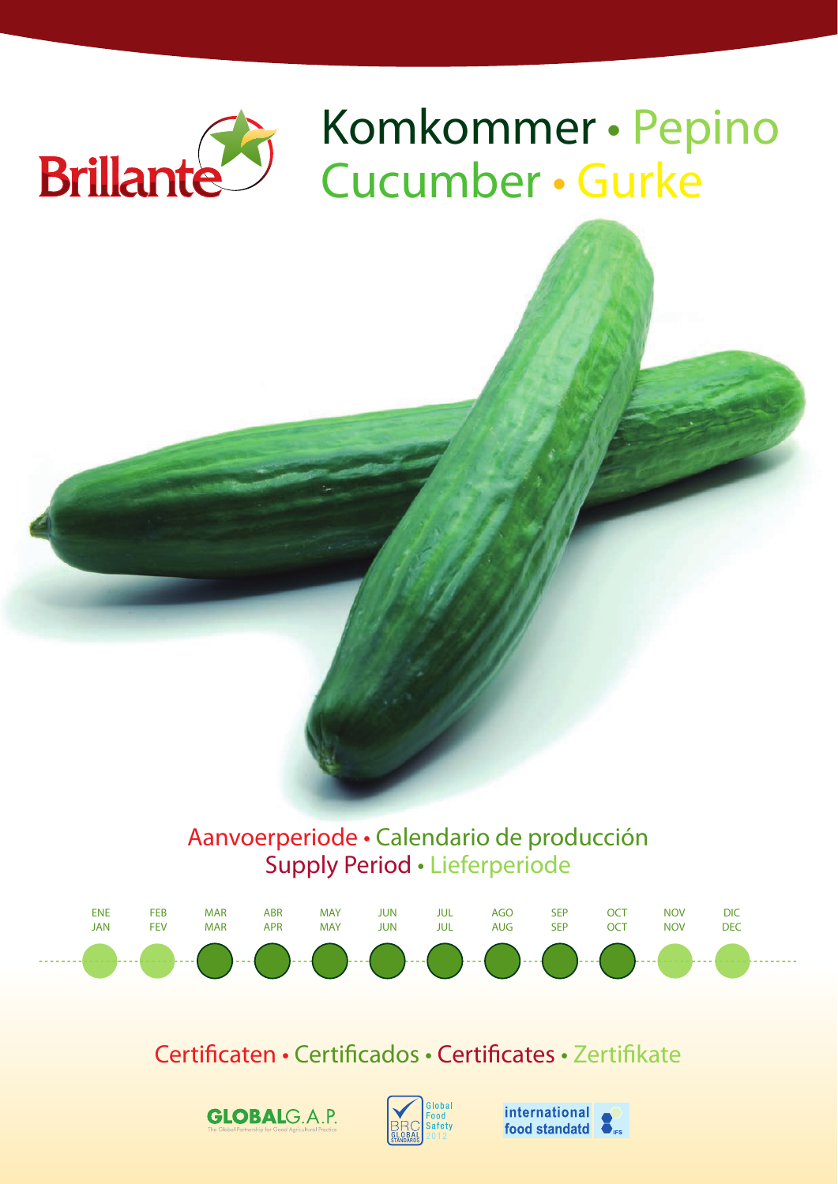

# Komkommer • Pepino Cucumber • Gurke

# Aanvoerperiode • Calendario de producción Supply Period • Lieferperiode



# Certificaten • Certificados • Certificates • Zertifikate